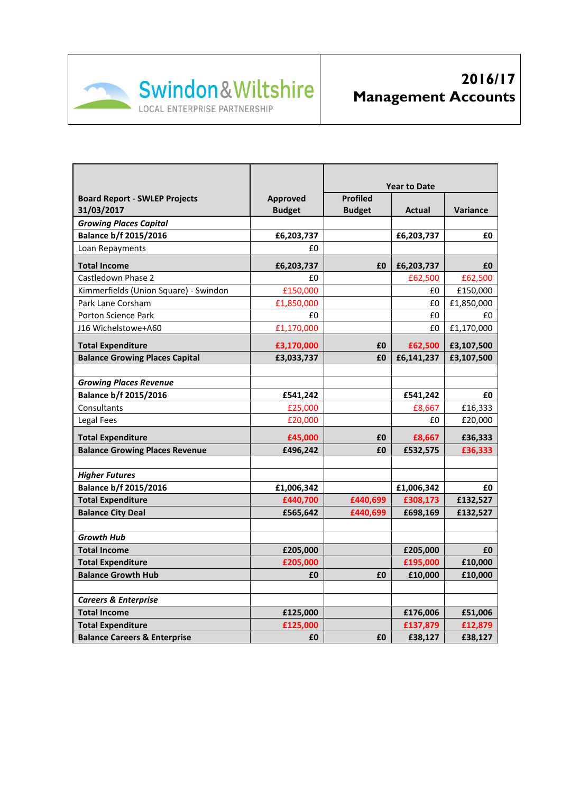

|                                         |                 | <b>Year to Date</b> |            |                 |
|-----------------------------------------|-----------------|---------------------|------------|-----------------|
| <b>Board Report - SWLEP Projects</b>    | <b>Approved</b> | <b>Profiled</b>     |            |                 |
| 31/03/2017                              | <b>Budget</b>   | <b>Budget</b>       | Actual     | <b>Variance</b> |
| <b>Growing Places Capital</b>           |                 |                     |            |                 |
| <b>Balance b/f 2015/2016</b>            | £6,203,737      |                     | £6,203,737 | £0              |
| Loan Repayments                         | £0              |                     |            |                 |
| <b>Total Income</b>                     | £6,203,737      | £0                  | £6,203,737 | £0              |
| Castledown Phase 2                      | £0              |                     | £62,500    | £62,500         |
| Kimmerfields (Union Square) - Swindon   | £150,000        |                     | £0         | £150,000        |
| Park Lane Corsham                       | £1,850,000      |                     | £0         | £1,850,000      |
| <b>Porton Science Park</b>              | £0              |                     | £0         | £0              |
| J16 Wichelstowe+A60                     | £1,170,000      |                     | £0         | £1,170,000      |
| <b>Total Expenditure</b>                | £3,170,000      | £0                  | £62,500    | £3,107,500      |
| <b>Balance Growing Places Capital</b>   | £3,033,737      | £0                  | £6,141,237 | £3,107,500      |
|                                         |                 |                     |            |                 |
| <b>Growing Places Revenue</b>           |                 |                     |            |                 |
| <b>Balance b/f 2015/2016</b>            | £541,242        |                     | £541,242   | £0              |
| Consultants                             | £25,000         |                     | £8,667     | £16,333         |
| Legal Fees                              | £20,000         |                     | £0         | £20,000         |
| <b>Total Expenditure</b>                | £45,000         | £0                  | £8,667     | £36,333         |
| <b>Balance Growing Places Revenue</b>   | £496,242        | £0                  | £532,575   | £36,333         |
|                                         |                 |                     |            |                 |
| <b>Higher Futures</b>                   |                 |                     |            |                 |
| <b>Balance b/f 2015/2016</b>            | £1,006,342      |                     | £1,006,342 | £0              |
| <b>Total Expenditure</b>                | £440,700        | £440,699            | £308,173   | £132,527        |
| <b>Balance City Deal</b>                | £565,642        | £440,699            | £698,169   | £132,527        |
|                                         |                 |                     |            |                 |
| <b>Growth Hub</b>                       |                 |                     |            |                 |
| <b>Total Income</b>                     | £205,000        |                     | £205,000   | £0              |
| <b>Total Expenditure</b>                | £205,000        |                     | £195,000   | £10,000         |
| <b>Balance Growth Hub</b>               | £0              | £0                  | £10,000    | £10,000         |
|                                         |                 |                     |            |                 |
| <b>Careers &amp; Enterprise</b>         |                 |                     |            |                 |
| <b>Total Income</b>                     | £125,000        |                     | £176,006   | £51,006         |
| <b>Total Expenditure</b>                | £125,000        |                     | £137,879   | £12,879         |
| <b>Balance Careers &amp; Enterprise</b> | £0              | £0                  | £38,127    | £38,127         |